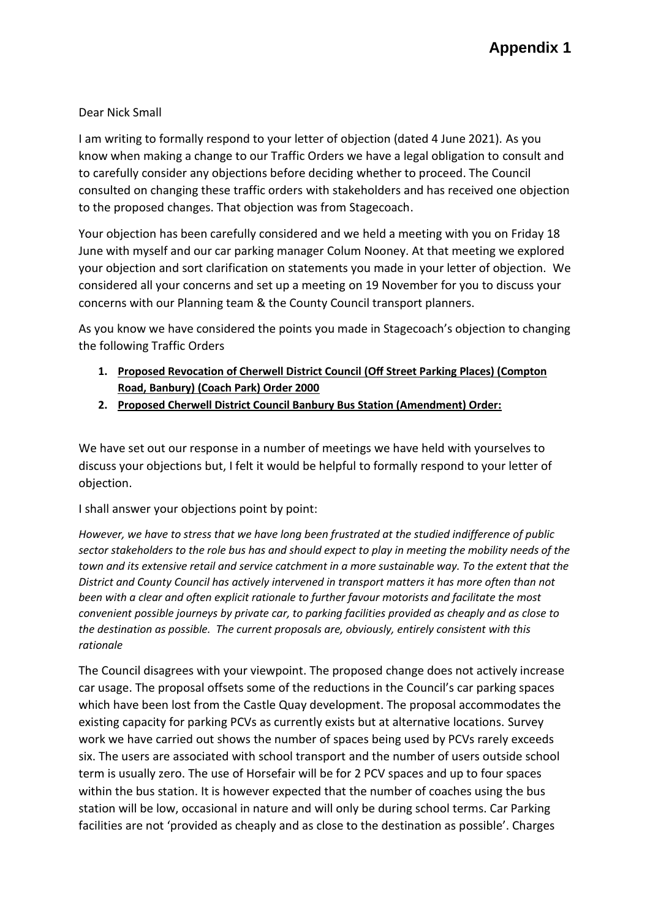# Dear Nick Small

I am writing to formally respond to your letter of objection (dated 4 June 2021). As you know when making a change to our Traffic Orders we have a legal obligation to consult and to carefully consider any objections before deciding whether to proceed. The Council consulted on changing these traffic orders with stakeholders and has received one objection to the proposed changes. That objection was from Stagecoach.

Your objection has been carefully considered and we held a meeting with you on Friday 18 June with myself and our car parking manager Colum Nooney. At that meeting we explored your objection and sort clarification on statements you made in your letter of objection. We considered all your concerns and set up a meeting on 19 November for you to discuss your concerns with our Planning team & the County Council transport planners.

As you know we have considered the points you made in Stagecoach's objection to changing the following Traffic Orders

- **1. Proposed Revocation of Cherwell District Council (Off Street Parking Places) (Compton Road, Banbury) (Coach Park) Order 2000**
- **2. Proposed Cherwell District Council Banbury Bus Station (Amendment) Order:**

We have set out our response in a number of meetings we have held with yourselves to discuss your objections but, I felt it would be helpful to formally respond to your letter of objection.

I shall answer your objections point by point:

*However, we have to stress that we have long been frustrated at the studied indifference of public sector stakeholders to the role bus has and should expect to play in meeting the mobility needs of the town and its extensive retail and service catchment in a more sustainable way. To the extent that the District and County Council has actively intervened in transport matters it has more often than not been with a clear and often explicit rationale to further favour motorists and facilitate the most convenient possible journeys by private car, to parking facilities provided as cheaply and as close to the destination as possible. The current proposals are, obviously, entirely consistent with this rationale*

The Council disagrees with your viewpoint. The proposed change does not actively increase car usage. The proposal offsets some of the reductions in the Council's car parking spaces which have been lost from the Castle Quay development. The proposal accommodates the existing capacity for parking PCVs as currently exists but at alternative locations. Survey work we have carried out shows the number of spaces being used by PCVs rarely exceeds six. The users are associated with school transport and the number of users outside school term is usually zero. The use of Horsefair will be for 2 PCV spaces and up to four spaces within the bus station. It is however expected that the number of coaches using the bus station will be low, occasional in nature and will only be during school terms. Car Parking facilities are not 'provided as cheaply and as close to the destination as possible'. Charges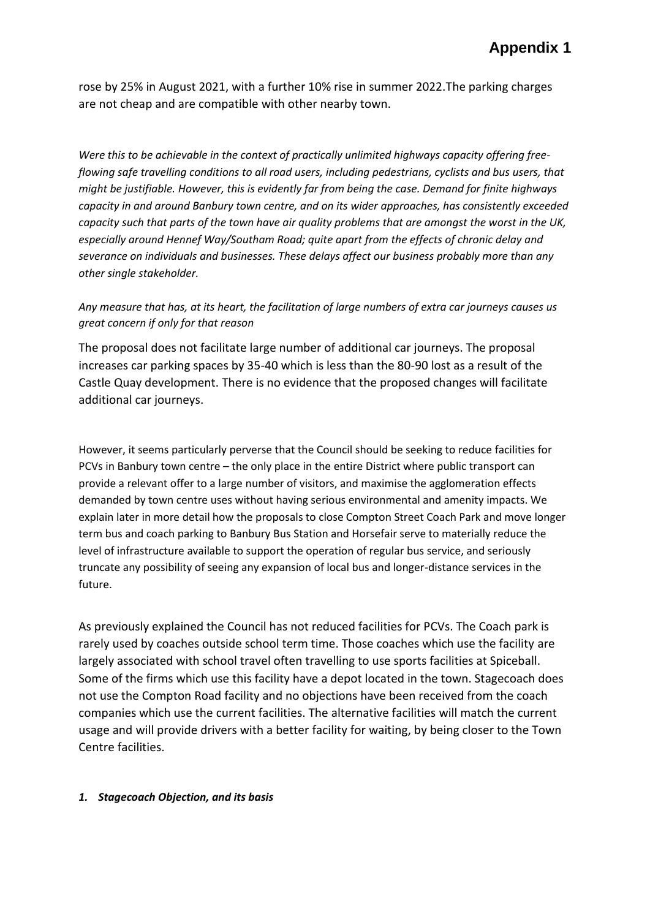rose by 25% in August 2021, with a further 10% rise in summer 2022.The parking charges are not cheap and are compatible with other nearby town.

*Were this to be achievable in the context of practically unlimited highways capacity offering freeflowing safe travelling conditions to all road users, including pedestrians, cyclists and bus users, that might be justifiable. However, this is evidently far from being the case. Demand for finite highways capacity in and around Banbury town centre, and on its wider approaches, has consistently exceeded capacity such that parts of the town have air quality problems that are amongst the worst in the UK, especially around Hennef Way/Southam Road; quite apart from the effects of chronic delay and severance on individuals and businesses. These delays affect our business probably more than any other single stakeholder.* 

## *Any measure that has, at its heart, the facilitation of large numbers of extra car journeys causes us great concern if only for that reason*

The proposal does not facilitate large number of additional car journeys. The proposal increases car parking spaces by 35-40 which is less than the 80-90 lost as a result of the Castle Quay development. There is no evidence that the proposed changes will facilitate additional car journeys.

However, it seems particularly perverse that the Council should be seeking to reduce facilities for PCVs in Banbury town centre – the only place in the entire District where public transport can provide a relevant offer to a large number of visitors, and maximise the agglomeration effects demanded by town centre uses without having serious environmental and amenity impacts. We explain later in more detail how the proposals to close Compton Street Coach Park and move longer term bus and coach parking to Banbury Bus Station and Horsefair serve to materially reduce the level of infrastructure available to support the operation of regular bus service, and seriously truncate any possibility of seeing any expansion of local bus and longer-distance services in the future.

As previously explained the Council has not reduced facilities for PCVs. The Coach park is rarely used by coaches outside school term time. Those coaches which use the facility are largely associated with school travel often travelling to use sports facilities at Spiceball. Some of the firms which use this facility have a depot located in the town. Stagecoach does not use the Compton Road facility and no objections have been received from the coach companies which use the current facilities. The alternative facilities will match the current usage and will provide drivers with a better facility for waiting, by being closer to the Town Centre facilities.

#### *1. Stagecoach Objection, and its basis*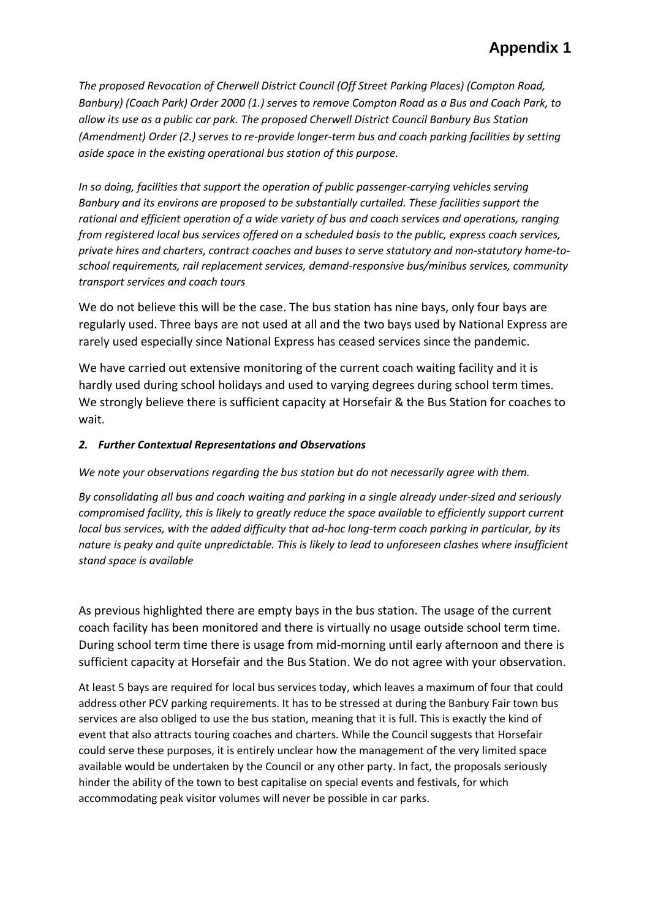*The proposed Revocation of Cherwell District Council (Off Street Parking Places) (Compton Road, Banbury) (Coach Park) Order 2000 (1.) serves to remove Compton Road as a Bus and Coach Park, to allow its use as a public car park. The proposed Cherwell District Council Banbury Bus Station (Amendment) Order (2.) serves to re-provide longer-term bus and coach parking facilities by setting aside space in the existing operational bus station of this purpose.*

*In so doing, facilities that support the operation of public passenger-carrying vehicles serving Banbury and its environs are proposed to be substantially curtailed. These facilities support the rational and efficient operation of a wide variety of bus and coach services and operations, ranging from registered local bus services offered on a scheduled basis to the public, express coach services, private hires and charters, contract coaches and buses to serve statutory and non-statutory home-toschool requirements, rail replacement services, demand-responsive bus/minibus services, community transport services and coach tours*

We do not believe this will be the case. The bus station has nine bays, only four bays are regularly used. Three bays are not used at all and the two bays used by National Express are rarely used especially since National Express has ceased services since the pandemic.

We have carried out extensive monitoring of the current coach waiting facility and it is hardly used during school holidays and used to varying degrees during school term times. We strongly believe there is sufficient capacity at Horsefair & the Bus Station for coaches to wait.

## *2. Further Contextual Representations and Observations*

*We note your observations regarding the bus station but do not necessarily agree with them.* 

*By consolidating all bus and coach waiting and parking in a single already under-sized and seriously compromised facility, this is likely to greatly reduce the space available to efficiently support current local bus services, with the added difficulty that ad-hoc long-term coach parking in particular, by its nature is peaky and quite unpredictable. This is likely to lead to unforeseen clashes where insufficient stand space is available*

As previous highlighted there are empty bays in the bus station. The usage of the current coach facility has been monitored and there is virtually no usage outside school term time. During school term time there is usage from mid-morning until early afternoon and there is sufficient capacity at Horsefair and the Bus Station. We do not agree with your observation.

At least 5 bays are required for local bus services today, which leaves a maximum of four that could address other PCV parking requirements. It has to be stressed at during the Banbury Fair town bus services are also obliged to use the bus station, meaning that it is full. This is exactly the kind of event that also attracts touring coaches and charters. While the Council suggests that Horsefair could serve these purposes, it is entirely unclear how the management of the very limited space available would be undertaken by the Council or any other party. In fact, the proposals seriously hinder the ability of the town to best capitalise on special events and festivals, for which accommodating peak visitor volumes will never be possible in car parks.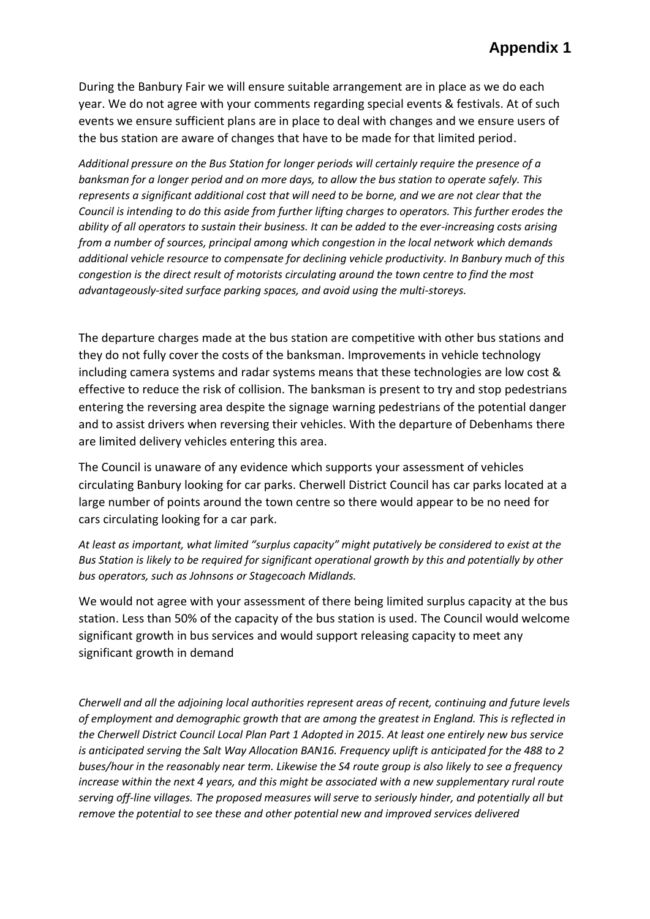During the Banbury Fair we will ensure suitable arrangement are in place as we do each year. We do not agree with your comments regarding special events & festivals. At of such events we ensure sufficient plans are in place to deal with changes and we ensure users of the bus station are aware of changes that have to be made for that limited period.

*Additional pressure on the Bus Station for longer periods will certainly require the presence of a banksman for a longer period and on more days, to allow the bus station to operate safely. This represents a significant additional cost that will need to be borne, and we are not clear that the Council is intending to do this aside from further lifting charges to operators. This further erodes the ability of all operators to sustain their business. It can be added to the ever-increasing costs arising from a number of sources, principal among which congestion in the local network which demands additional vehicle resource to compensate for declining vehicle productivity. In Banbury much of this congestion is the direct result of motorists circulating around the town centre to find the most advantageously-sited surface parking spaces, and avoid using the multi-storeys.*

The departure charges made at the bus station are competitive with other bus stations and they do not fully cover the costs of the banksman. Improvements in vehicle technology including camera systems and radar systems means that these technologies are low cost & effective to reduce the risk of collision. The banksman is present to try and stop pedestrians entering the reversing area despite the signage warning pedestrians of the potential danger and to assist drivers when reversing their vehicles. With the departure of Debenhams there are limited delivery vehicles entering this area.

The Council is unaware of any evidence which supports your assessment of vehicles circulating Banbury looking for car parks. Cherwell District Council has car parks located at a large number of points around the town centre so there would appear to be no need for cars circulating looking for a car park.

*At least as important, what limited "surplus capacity" might putatively be considered to exist at the Bus Station is likely to be required for significant operational growth by this and potentially by other bus operators, such as Johnsons or Stagecoach Midlands.*

We would not agree with your assessment of there being limited surplus capacity at the bus station. Less than 50% of the capacity of the bus station is used. The Council would welcome significant growth in bus services and would support releasing capacity to meet any significant growth in demand

*Cherwell and all the adjoining local authorities represent areas of recent, continuing and future levels of employment and demographic growth that are among the greatest in England. This is reflected in the Cherwell District Council Local Plan Part 1 Adopted in 2015. At least one entirely new bus service is anticipated serving the Salt Way Allocation BAN16. Frequency uplift is anticipated for the 488 to 2 buses/hour in the reasonably near term. Likewise the S4 route group is also likely to see a frequency increase within the next 4 years, and this might be associated with a new supplementary rural route serving off-line villages. The proposed measures will serve to seriously hinder, and potentially all but remove the potential to see these and other potential new and improved services delivered*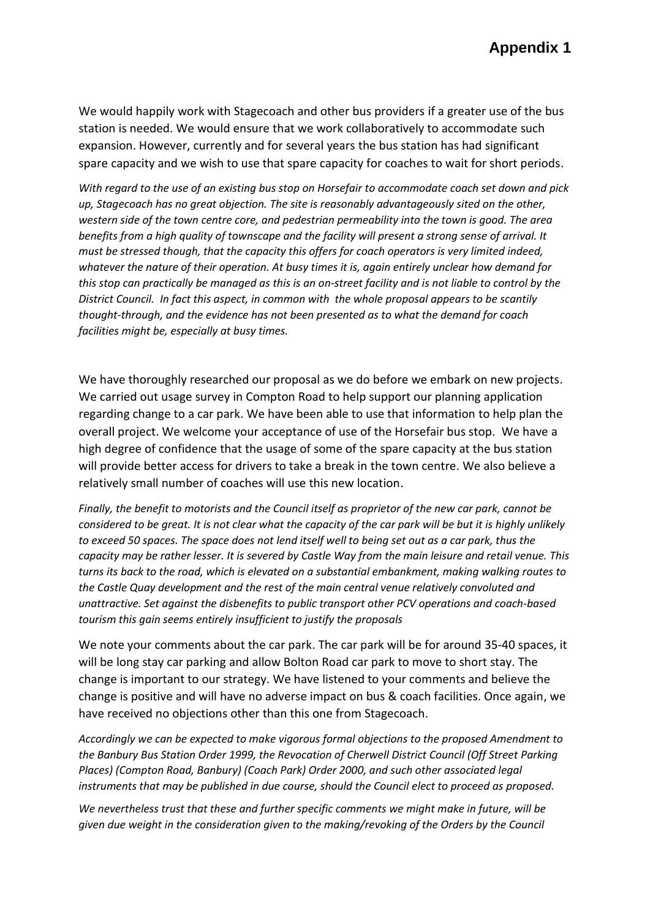We would happily work with Stagecoach and other bus providers if a greater use of the bus station is needed. We would ensure that we work collaboratively to accommodate such expansion. However, currently and for several years the bus station has had significant spare capacity and we wish to use that spare capacity for coaches to wait for short periods.

*With regard to the use of an existing bus stop on Horsefair to accommodate coach set down and pick up, Stagecoach has no great objection. The site is reasonably advantageously sited on the other, western side of the town centre core, and pedestrian permeability into the town is good. The area benefits from a high quality of townscape and the facility will present a strong sense of arrival. It must be stressed though, that the capacity this offers for coach operators is very limited indeed, whatever the nature of their operation. At busy times it is, again entirely unclear how demand for this stop can practically be managed as this is an on-street facility and is not liable to control by the District Council. In fact this aspect, in common with the whole proposal appears to be scantily thought-through, and the evidence has not been presented as to what the demand for coach facilities might be, especially at busy times.*

We have thoroughly researched our proposal as we do before we embark on new projects. We carried out usage survey in Compton Road to help support our planning application regarding change to a car park. We have been able to use that information to help plan the overall project. We welcome your acceptance of use of the Horsefair bus stop. We have a high degree of confidence that the usage of some of the spare capacity at the bus station will provide better access for drivers to take a break in the town centre. We also believe a relatively small number of coaches will use this new location.

*Finally, the benefit to motorists and the Council itself as proprietor of the new car park, cannot be considered to be great. It is not clear what the capacity of the car park will be but it is highly unlikely to exceed 50 spaces. The space does not lend itself well to being set out as a car park, thus the capacity may be rather lesser. It is severed by Castle Way from the main leisure and retail venue. This turns its back to the road, which is elevated on a substantial embankment, making walking routes to the Castle Quay development and the rest of the main central venue relatively convoluted and unattractive. Set against the disbenefits to public transport other PCV operations and coach-based tourism this gain seems entirely insufficient to justify the proposals*

We note your comments about the car park. The car park will be for around 35-40 spaces, it will be long stay car parking and allow Bolton Road car park to move to short stay. The change is important to our strategy. We have listened to your comments and believe the change is positive and will have no adverse impact on bus & coach facilities. Once again, we have received no objections other than this one from Stagecoach.

*Accordingly we can be expected to make vigorous formal objections to the proposed Amendment to the Banbury Bus Station Order 1999, the Revocation of Cherwell District Council (Off Street Parking Places) (Compton Road, Banbury) (Coach Park) Order 2000, and such other associated legal instruments that may be published in due course, should the Council elect to proceed as proposed.* 

*We nevertheless trust that these and further specific comments we might make in future, will be given due weight in the consideration given to the making/revoking of the Orders by the Council*